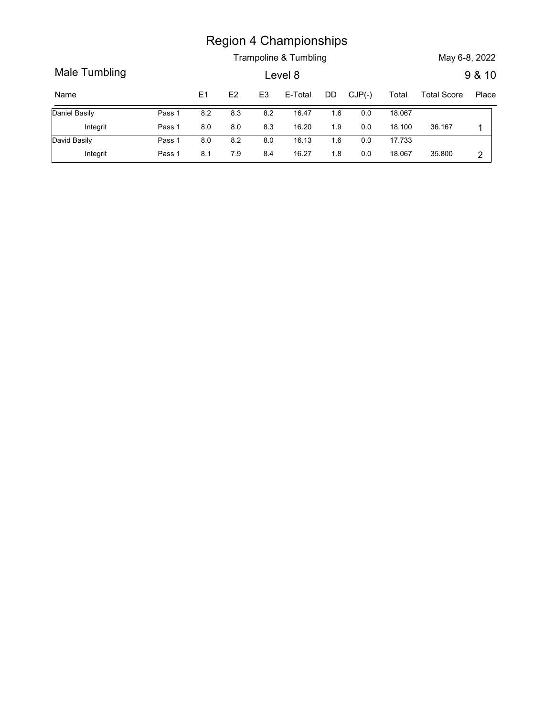|                      |        |     |         |                | <b>Region 4 Championships</b> |     |          |        |                    |                |
|----------------------|--------|-----|---------|----------------|-------------------------------|-----|----------|--------|--------------------|----------------|
|                      |        |     |         |                | Trampoline & Tumbling         |     |          |        | May 6-8, 2022      |                |
| Male Tumbling        |        |     |         |                | Level 8                       |     |          |        |                    | 9 & 10         |
| Name                 |        | E1  | E2      | E <sub>3</sub> | E-Total                       | DD  | $CJP(-)$ | Total  | <b>Total Score</b> |                |
| <b>Daniel Basily</b> | Pass 1 | 8.2 | 8.3     | 8.2            | 16.47                         | 1.6 | 0.0      | 18.067 |                    | Place          |
| Integrit             | Pass 1 | 8.0 | $8.0\,$ | 8.3            | 16.20                         | 1.9 | $0.0\,$  | 18.100 | 36.167             | $\overline{1}$ |
| David Basily         | Pass 1 | 8.0 | 8.2     | 8.0            | 16.13                         | 1.6 | $0.0\,$  | 17.733 |                    |                |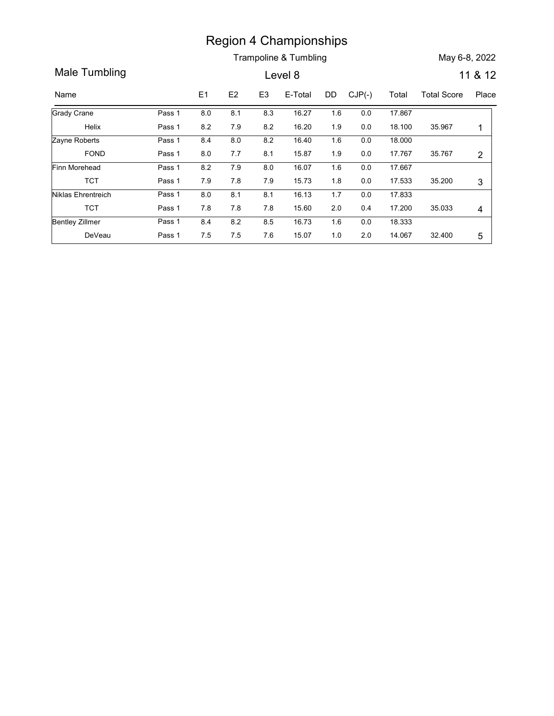Trampoline & Tumbling May 6-8, 2022

Region 4 Championships<br>
Trampoline & Tumbling<br>
Name E1 E2 E3 E-Total DD CJP(-) Total Total Score Place<br>
Trady Crane Pass 1 8.0 8.1 8.3 16.27 1.6 0.0 17.867<br>
Helix Pass 1 8.2 7.9 8.2 16.20 1.9 0.0 18.100 35.967 1<br>
Trady Rob Region 4 Championships<br>
Trampoline & Tumbling<br>
Level 8 11 & 12<br>
Name E1 E2 E3 E-Total DD CJP(-) Total Total Score Place<br>
Frady Crane Pass 1 8.0 8.1 8.3 16.27 1.6 0.0 17.867<br>
Helix Pass 1 8.2 7.9 8.2 16.20 1.9 0.0 18.100 35 Region 4 Championships<br>
Trampoline & Tumbling<br>
Level 8<br>
11 & 12<br>
E1 E2 E3 E-Total DD CJP(-) Total Total Score Place<br>
8.0 8.1 8.3 16.27 1.6 0.0 17.867<br>
8.2 7.9 8.2 16.40 1.6 0.0 18.100 35.967 1<br>
8.4 8.0 8.2 16.40 1.6 0.0 18 Helix Pass 1 Grady Crane Pass 1 8.0 8.1 Region 4 Championships<br>
Trampoline & Tumbling<br>
Level 8 11 & 12<br>
11 & 12<br>
11 & 12<br>
11 & 12<br>
11 & 12<br>
11 & 12<br>
11 & 12<br>
11 & 12<br>
11 & 12<br>
11 & 12<br>
11 & 12<br>
11 & 12<br>
11 & 12<br>
11 & 12<br>
11 & 12<br>
11 & 12<br>
11 & 12<br>
11 & 12<br>
11 & 1.6 0.0 17.867 and 1.6 0.0 17.867 18.100 0.0 Pass 1 0.8.0 0.8.1 0.8.3 16.27 1.6 0.0 17.867 to the set of the set of the set of the set of the set of the se Region 4 Championships<br>
Trampoline & Tumbling<br>
Level 8 11 & 12<br>
E-1 E2 E3 E-Total DD CJP(-) Total Total Score Place<br>
8.0 8.1 8.3 16.27 1.6 0.0 17.867<br>
8.2 7.9 8.2 16.40 1.6 0.0 18.000<br>
8.0 7.7 8.1 15.87 1.9 0.0 17.767 35.7 FOND Pass 1 Zayne Roberts **Pass 1** 8.4 8.0 Region 4 Championships<br>
Trampoline & Tumbling<br>
Level 8 11 & 12<br>
11 & 12<br>
11 & 12<br>
8.0 8.1 8.3 16.27 1.6 0.0 17.867<br>
8.2 7.9 8.2 16.20 1.9 0.0 18.1000<br>
8.4 8.0 8.7 8.1 15.87 1.9 0.0 17.767 35.767 2<br>
8.2 7.9 8.0 16.07 1.6 0. 1.6 0.0 18.000 and 1.6 0.0 18.000 and 1.6 0.0 18.000 and 1.6 0.0 and 1.6 0.0 1.1 0.1 0.1 0.1 0.1 0.1 0.1 0.1 0 17.767 0.0 Pass 1 0.4 8.0 8.2 16.40 1.6 0.0 18.000 Region 4 Championships<br>
Trampoline & Tumbling<br>
Level 8 11 & 12<br>
11 & 12<br>
8.0 8.1 8.3 16.27 1.6 0.0 17.867<br>
8.2 7.9 8.2 16.20 1.9 0.0 18.100 35.967 1<br>
8.4 8.0 8.2 16.40 1.6 0.0 18.000 18.000<br>
8.0 7.7 8.1 15.87 1.9 0.0 17.76 TCT Pass 1 Finn Morehead Pass 1 8.2 7.9 **Example 8.** Trampoline & Tumbling<br>
Level 8<br>
11 & 12<br>
11 & 12<br>
11 & 12<br>
11 & 12<br>
11 & 12<br>
11 & 12<br>
11 & 12<br>
11 & 12<br>
11 & 12<br>
11 & 12<br>
11 & 12<br>
11 & 12<br>
11 & 12<br>
11 & 12<br>
11 & 12<br>
11 & 12<br>
11 & 12<br>
11 & 12<br>
11 & 12<br>
11 & 1 17.667 1.6 0.0 17.533 35.200 3 Pass 1 8.2 7.9 8.0 16.07 1.6 0.0 17.667 Region 4 Championships<br>
Trampoline & Tumbling<br>
Level 8 11 & 12<br>
8.0 8.1 8.3 16.27 1.6 0.0 17.867<br>
8.2 7.9 8.2 16.40 1.9 0.0 18.000 35.967 1<br>
8.4 8.0 8.2 16.40 1.8 0.0 18.000<br>
8.0 7.7 8.1 15.87 1.9 0.0 17.767 35.767 2<br>
8.2 TCT Pass 1 Niklas Ehrentreich **Pass 1** 8.0 8.1 8.1 **Region 4 Championships**<br>
Trampoline & Tumbling<br>
Level 8 11 & 12<br>
11 & 12<br>
11 & 12<br>
11 & 12<br>
11 & 12<br>
11 & 12<br>
11 & 12<br>
11 & 12<br>
11 & 12<br>
11 & 12<br>
11 & 12<br>
11 & 12<br>
11 & 12<br>
11 & 12<br>
11 & 10<br>
11 00<br>
11 00<br>
11 00<br>
11 00<br>
11 17.833 1.7 35.033 4 0.4 17.200 Pass 1 8.0 8.1 8.1 16.13 1.7 0.0 17.833 Region 4 Championships<br>
Trampoline & Tumbling<br>
Level 8 11 & 12<br>
11 & 12<br>
11 & 12<br>
11 & 12<br>
11 & 12<br>
11 & 12<br>
11 & 12<br>
11 & 12<br>
11 & 12<br>
11 & 12<br>
11 & 12<br>
11 & 12<br>
11 & 12<br>
11 & 12<br>
11 & 10 0 17.767<br>
11 8.587<br>
11 8.77<br>
11 8 DeVeau Pass 1 7.5 7.6 7.6 Bentley Zillmer Pass 1 **Region 4 Championships**<br>
Trampoline & Tumbling<br>
Level 8 11 & 12<br>
11 & 12<br>
11 & 12<br>
11 & 12<br>
11 & 12<br>
11 & 12<br>
11 & 12<br>
11 & 12<br>
11 & 12<br>
11 & 12<br>
11 & 15.5<br>
11 15.00<br>
11.767<br>
11 16.00<br>
11.767<br>
11 16.00<br>
11.767<br>
11 16.00<br> 18.333 1.6 2.0 14.067 32.400 5 | Pass 1 08.4 08.2 08.5 16.73 1.6 0.0 18.333 National Million September 1.6 0.0 18.333 Pass 1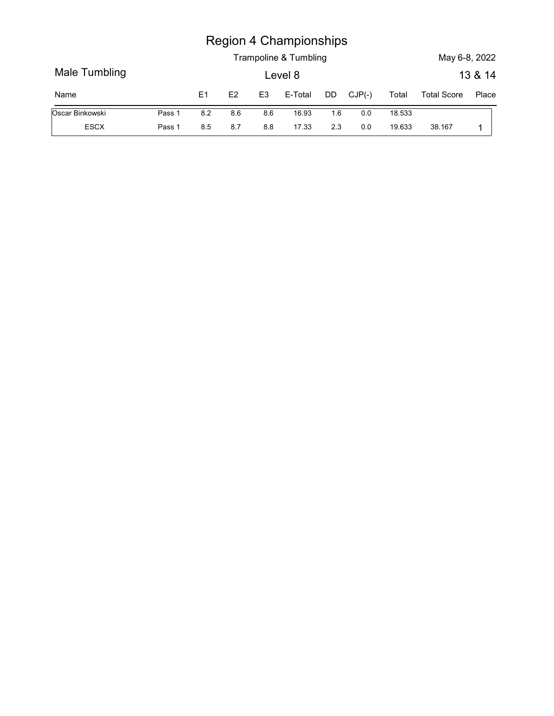|                 |        |     |     |                | <b>Region 4 Championships</b> |     |          |        |                    |         |
|-----------------|--------|-----|-----|----------------|-------------------------------|-----|----------|--------|--------------------|---------|
|                 |        |     |     |                | Trampoline & Tumbling         |     |          |        | May 6-8, 2022      |         |
| Male Tumbling   |        |     |     |                | Level 8                       |     |          |        |                    | 13 & 14 |
| Name            |        | E1  | E2  | E <sub>3</sub> | E-Total                       | DD  | $CJP(-)$ | Total  | <b>Total Score</b> | Place   |
| Oscar Binkowski | Pass 1 | 8.2 | 8.6 | 8.6            | 16.93                         | 1.6 | $0.0\,$  | 18.533 |                    |         |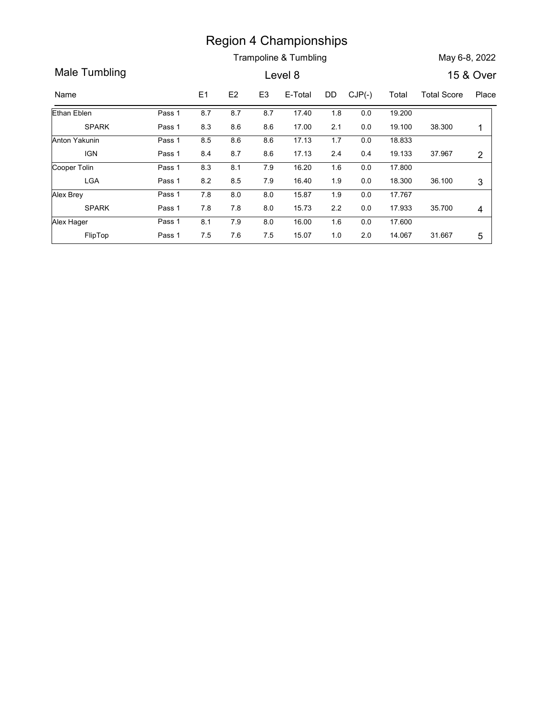Trampoline & Tumbling May 6-8, 2022

Region 4 Championships<br>
Trampoline & Tumbling<br>
Name E1 E2 E3 E-Total DD CJP(-) Total Total Score Place<br>
Name E1 E2 E3 E-Total DD CJP(-) Total Total Score Place<br>
Than Eblen Pass 1 8.7 8.7 8.7 17.40 1.8 0.0 19.200<br>
SPARK Pas **Example 8 Tumbling**<br>
Male Tumbling<br>
May 6-8, 2022<br>
Male Tumbling<br>
Level 8 15 & Over<br>
Name<br>
E1 E2 E3 E-Total DD CJP(-) Total Total Score Place<br>
Ethan Eblen<br>
Pass 1 8.7 8.7 8.7 17.40 1.8 0.0 19.200<br>
SPARK<br>
Pass 1 8.3 8.6 8. Region 4 Championships<br>
Trampoline & Tumbling<br>
Level 8 15 & Over<br>
E1 E2 E3 E-Total DD CJP(-) Total Total Score Place<br>
8.7 8.7 8.7 17.40 1.8 0.0 19.200<br>
8.3 8.6 8.6 17.00 2.1 0.0 19.100 38.300 1<br>
8.5 8.6 8.6 17.13 1.7 0.0 1 SPARK Ethan Eblen Pass 1 8.7 8.7 Region 4 Championships<br>
Trampoline & Tumbling<br>
Level 8 15 & Over<br>
15 & Over<br>
15 & Over<br>
16 & Over<br>
16 & Total DD CJP(-) Total Total Score<br>
18 & Over<br>
18 & Total 18 0.0 19.200<br>
18.5 & 8 & 17.00 2.1 0.0 19.100 38.300 1<br>
18.5 19.200 1.8 19.100 0.0 Pass 1 0.0  $17.00$  2.1 Region 4 Championships<br>
Trampoline & Tumbling<br>
Level 8 15 & Over<br>
15 & Over<br>
8.7 8.7 8.7 17.40 1.8 0.0 19.200<br>
8.5 8.6 8.6 17.00 11.13 1.7 0.0 18.833<br>
8.4 8.7 8.6 17.13 1.7 0.0 18.833<br>
8.4 8.7 8.6 17.13 2.4 0.4 19.133 37.9 IGN Pass 1 Anton Yakunin Pass 1 8.5 8.6 Region 4 Championships<br>
Trampoline & Tumbling<br>
Level 8 15 & Over<br>
15 & Over<br>
15 & Over<br>
8.7 8.7 8.7 17.40 1.8 0.0 19.200<br>
8.3 8.6 8.6 17.0 2.1 0.0 19.100 38.300 1<br>
8.5 8.6 8.6 17.13 1.7 0.0 19.303<br>
8.4 8.7 8.6 17.13 1.7 0. 1.7 0.0 18.833 and 1.7 0.0 18.833 37.967 2 0.4 19.133 Pass 1 000 10.000 18.833 1.7 0.0 18.833 Region 4 Championships<br>
Trampoline & Tumbling<br>
Level 8 15 & Over<br>
15 & Over<br>
15 & Over<br>
15 & Over<br>
15 & Over<br>
15 & Over<br>
15 & Over<br>
15 & Over<br>
15 & Over<br>
15 & Over<br>
15 & Over<br>
15 & Over<br>
16.20<br>
18.30<br>
18.5 8.6 8.6 17.13 1. LGA Pass 1 Cooper Tolin **Pass 1** 8.3 8.1 Region 4 Championships<br>
Trampoline & Tumbling<br>
Level 8 15 & Over<br>
15 & Over<br>
15 & Over<br>
15 & Over<br>
15 & Over<br>
15 & Over<br>
15 & Over<br>
15 & Over<br>
15 & Over<br>
15 & Over<br>
15 & Over<br>
15 & Over<br>
15 & Over<br>
16.7 17.40 1.8 0.0 19.00 1.6 0.0 17.800 and 1.6 and 1.8 and 1.8 and 1.8 and 1.8 and 1.8 and 1.8 and 1.8 and 1.8 and 1.8 and 1.8 and 1.8 and 1.8 and 1.8 and 1.8 and 1.8 and 1.8 and 1.8 and 1.8 and 1.8 and 1.8 and 1.8 and 1.8 and 1.8 and 1.8 and 1.8 0.0 18.300 36.100 3 Pass 1 0.0 7.8 8.0 8.0 15.87 SPARK Pass 1 7.8 7.8 8.0 15.73 Alex Brey Pass 1 7.8 **Region 4 Championships**<br>
Trampoline & Tumbling<br>
Level 8 15 & Over<br>
17 E2 E3 E-Total DD CJP(-) Total Total Score Place<br>
18.7 8.7 8.7 17.40 1.8 0.0 19.200<br>
18.8 8.6 8.6 17.00 1.1.00 19.200<br>
18.8 8.6 8.6 17.13 1.7 0.0 19.200 17.767 1.9 35.700 4 0.0 17.933 Pass 1 7.8 8.0 8.0 15.87 1.9 0.0 17.767 Pass 1 7.8 7.8 8.0 15.73 2.2 Region 4 Championships<br>
Trampoline & Tumbling<br>
Level 8 15 & Over<br>
15 & Over<br>
17 8.7 8.7 8.7 17.40 1.8 0.0 19.200<br>
18.8 8.6 8.6 17.13 1.7 0.0 18.833<br>
18.5 8.6 8.6 17.13 1.7 0.0 18.833<br>
18.4 8.7 8.6 17.13 1.7 0.0 18.833<br>
18. FlipTop Pass 1 7.5 7.6 7.5 Alex Hager Pass 1 **Region 4 Championships**<br>
Trampoline & Tumbling<br>
Level 8<br>
15 & Over<br>
17 E2 E3 E-Total DD CJP(-) Total Total Score Place<br>
17 8.7 8.7 17.40 1.8 0.0 19.200<br>
18.5 8.6 8.6 17.73 1.7 0.0 19.100 38.300 1<br>
18.6 8.6 8.6 17.73 1.7 0 17.600 1.6 31.667 5 2.0 Pass 1 00.1 7.9 0.2 16.00 1.6 0.0 17.600 to the set of the set of the set of the set of the set of t Pass 1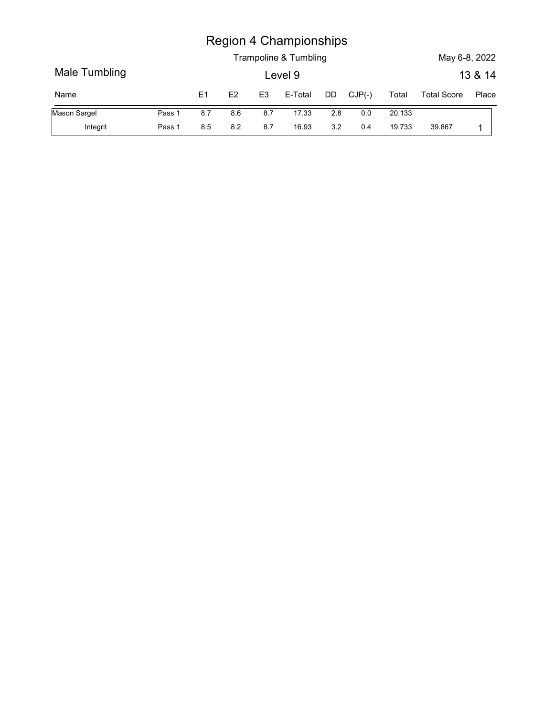|               |        |                |     |                | <b>Region 4 Championships</b><br>Trampoline & Tumbling |     |          |        | May 6-8, 2022      |                  |
|---------------|--------|----------------|-----|----------------|--------------------------------------------------------|-----|----------|--------|--------------------|------------------|
| Male Tumbling |        |                |     |                | Level 9                                                |     |          |        |                    |                  |
| Name          |        | E <sub>1</sub> | E2  | E <sub>3</sub> | E-Total                                                | DD  | $CJP(-)$ | Total  | <b>Total Score</b> | 13 & 14<br>Place |
| Mason Sargel  | Pass 1 | 8.7            | 8.6 | 8.7            | 17.33                                                  | 2.8 | $0.0\,$  | 20.133 |                    |                  |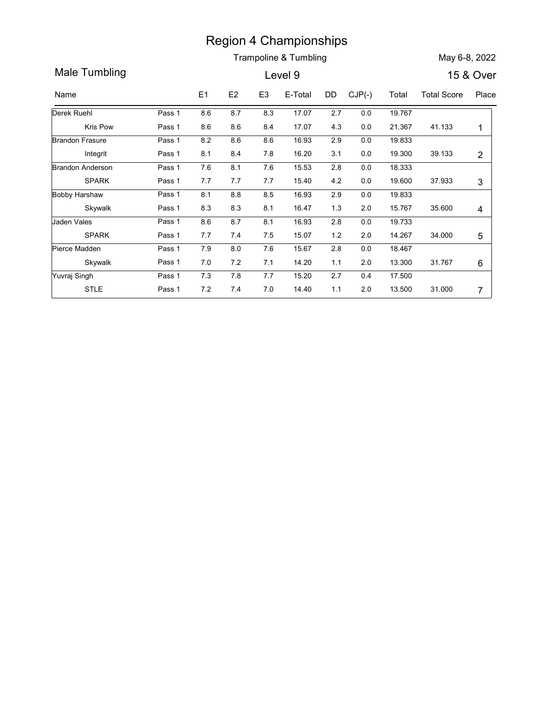Trampoline & Tumbling May 6-8, 2022

Region 4 Championships<br>
Trampoline & Tumbling<br>
Name E1 E2 E3 E-Total DD CJP(-) Total Total Score Place<br>
Name E1 E2 E3 E-Total DD CJP(-) Total Total Score Place<br>
Nerek Ruehl Pass 1 8.6 8.7 8.3 17.07 2.7 0.0 19.767<br>
Kris Pow Region 4 Championships<br>
Trampoline & Tumbling<br>
Level 9 15 & Over<br>
Name E1 E2 E3 E-Total DD CJP(-) Total Total Score Place<br>
Perek Ruehl Pass 1 8.6 8.7 8.3 17.07 2.7 0.0 19.767<br>
Kris Pow Pass 1 8.6 8.6 8.4 17.07 4.3 0.0 21.3 Region 4 Championships<br>
Trampoline & Tumbling<br>
Level 9<br>
15 & Over<br>
E1 E2 E3 E-Total DD CJP(-) Total Total Score Place<br>
8.6 8.7 8.3 17.07 2.7 0.0 19.767<br>
8.6 8.6 8.4 17.07 4.3 0.0 21.367 41.133 1<br>
8.2 8.6 8.6 16.93 2.9 0.0 Kris Pow Pass 1 8.6 8.6 8.4 17.07 Derek Ruehl Region 4 Championships<br>
Trampoline & Tumbling<br>
Level 9 15 & Over<br>
18 A Over<br>
18 A Over<br>
18 A Over<br>
18 A Over<br>
18 A Over<br>
18 A Over<br>
18 A Over<br>
18 A Over<br>
18 A Over<br>
18 A Over<br>
18 A Over<br>
18 A Over<br>
18 A Over<br>
18 A Over<br>
18 2.7 0.0 19.767 21.367 0.0 Pass 1 0.0 8.7 0.0 8.3 17.07 2.7 0.0 19.767 Pass 1 8.6 8.6 8.4 17.07 4.3 Region 4 Championships<br>
Trampoline & Tumbling<br>
Level 9 15 & Over<br>
15 & Over<br>
8.6 8.7 8.3 17.07 2.7 0.0 19.767<br>
8.6 8.6 8.4 17.07 4.3 0.0 19.767<br>
8.2 8.6 8.4 17.07 4.3 0.0 19.333<br>
8.1 8.4 7.8 16.20 3.1 0.0 19.300 39.133 2<br> Integrit Pass 1 Brandon Frasure Pass 1 8.2 8.6 8.6 Region 4 Championships<br>
Trampoline & Tumbling<br>
Level 9 15 & Over<br>
15 & Over<br>
15 & Over<br>
8.6 8.7 8.3 17.07 2.7 0.0 19.767<br>
8.6 8.6 8.4 17.07 4.3 0.0 21.367 41.133 1<br>
8.2 8.6 8.6 16.93 2.9 0.0 19.300 39.133 2<br>
7.6 8.1 7.6 15 19.833 2.9 0.0 19.300 39.133 2 Pass 1 08.2 08.6 08.6 16.93 0.2.9 0.0 19.833 to the set of the set of the set of the set of the set o **Example 8.** Trampoline & Tumbling<br>
Level 9<br>
15 & Over<br>
15 & Over<br>
15 & Over<br>
15 & Over<br>
15 & Over<br>
15 & Over<br>
15 & Over<br>
15 & Over<br>
15 & Over<br>
15 & Over<br>
15 & Over<br>
15 & Over<br>
16.6 8.7 8.3 17.07 2.7 0.0 19.767<br>
18.6 8.6 8 SPARK Pass 1 7.7 7.7 7.7 15.40 Brandon Anderson Pass 1 7.6 8.1 7.6 **Example 8. Tumbling**<br> **Example 8. Tumbling**<br> **Example 8. Tumbling**<br> **Example 8. Tumbling**<br> **Example 8. Second 15.40**<br> **Example 8. Second 15.40**<br> **Example 8. Second 15.40**<br> **Example 8. Second 15.60**<br> **Example 8. Second 15.** 18.333 2.8 0.0 19.600 37.933 3 Pass 1 7.6 8.1 7.6 15.53 2.8 0.0 18.333 Pass 1 7.7 7.7 7.7 15.40 4.2 Region 4 Championships<br>
Trampoline & Tumbling<br>
Level 9 15 & Over<br>
15 & Over<br>
15 & Over<br>
15 & Over<br>
15 & Over<br>
16.8 8.7 8.3 17.07 2.7 0.0 19.767<br>
19.767 8.8 8.8 8.8 16.93 2.9 0.0 19.833<br>
18.1 8.4 7.8 16.20 3.1 0.0 19.303 3<br> Skywalk Pass 1 8.3 8.3 Bobby Harshaw Pass 1 8.1 8.8 8.5 16.93 **Region 4 Championships**<br>
Trampoline & Tumbling<br>
Level 9 15 & Over<br>
15 & Over<br>
15 & Over<br>
16 & 8.7 8.3 17.07 2.7 0.0 19.767<br>
18.6 & 8.4 17.07 4.3 0.0 21.367 41.133 1<br>
18.1 & 4 7.8 16.93 2.9 0.0 19.833<br>
17.6 8.1 7.6 15.53 2 19.833 2.9 15.767 2.0 Pass 1 08.1 08.8 08.5 16.93 0.2.9 0.0 19.833 to the set of the Maria Society of the Maria Society of the Maria Pass 1 8.3 8.3 8.1 16.47 1.3 Region 4 Championships<br>
Trampoline & Tumbling<br>
Level 9 15 & Over<br>
18.6 8.7 8.3 17.07 2.7 0.0 19.767<br>
8.6 8.6 8.4 17.07 4.3 0.0 21.367 41.133 1<br>
8.2 8.6 8.6 16.93 2.9 0.0 19.393<br>
8.1 8.4 7.8 16.20 3.1 0.0 19.300 39.133 2<br>
8 SPARK Pass 1 7.7 7.4 7.5 15.07 Jaden Vales **Case Case 1 31 Pass 1** 3.6 3.7 **Region 4 Championships**<br>
Trampoline & Tumbling<br>
Level 9<br>
15 & Over<br>
17.5 2.7 6.08 1.7 1.7 1.7 1.2 1.3 1.7 1.133<br>
18.6 8.7 8.3 17.07 2.7 0.0 19.767<br>
18.6 8.6 8.4 17.07 4.3 0.0 21.367 41.133 1<br>
18.1 8.4 7.8 16.20 3.1 0.0 19 19.733 2.8 2.0 14.267 34.000 5 | Pass 1 8.6 8.7 8.1 16.93 2.8 0.0 19.733 Pass 1 7.7 7.4 7.5 15.07 1.2 **Example 4 Championships**<br>
Trampoline & Tumbling<br>
Level 9 15 & Over<br>
15 E2 E3 E-Total DD CJP(c) Total Total Score Place<br>
8.6 8.7 8.3 17.07 2.7 0.0 19.767<br>
8.6 8.6 8.4 17.07 4.3 0.0 21.367 41.133 1<br>
8.2 8.6 8.6 16.93 2.9 0. Skywalk Pass 1 7.0 7.2 Pierce Madden **Pass 1** 7.9 8.0 **Example 8 7.1 14.20**<br> **Example 8 7.1 14.20**<br> **Example 8 7.1 14.20**<br> **Example 8 7.1 14.20**<br> **Example 8 8.6 8.6 8.4 17.07**<br> **Example 8.6 8.6 8.4 17.07**<br> **Example 8.6 8.6 8.4 17.07**<br> **Example 8.6 8.6 8.6 8.6 16.93**<br> **Example** 2.8 0.0 18.467 31.767 6 2.0 Pass 1 7.9 8.0 7.6 15.67 2.8 0.0 18.467 Pass 1 7.0 7.2 7.1 14.20 1.1 11 12.0 11 13.20 11 13.20 15.80 16.81 16.81 16.81 16.81 16.81 16.81 16.81 16.81 16.81 16.81 16.81 16.81 16.81 16.81 16.81 16.81 16.81 16.81 16.81 16.81 16.81 16.81 16.81 16.81 16.81 16.81 16.81 16.81 16.81 16.81 16.81 16.8 STLE Pass 1Yuvraj Singh **Pass 1** 7.3 7.8 7.7 7.7 7.7 15.40 4.2 0.0 19.303 3<br>
16.8 7 8.3 17.07 2.7 0.0 19.767 1131.000 7<br>
16.8 8.6 8.4 17.07 4.3 0.0 21.367 41.133 1<br>
16.1 84 7.8 16.20 3.1 0.0 19.303 3<br>
17.7 7.7 7.7 15.40 4.2 0.0 19.303 3<br>
17.8 8.5 16.93 2.9 0.0 19 2.7 0.4 17.500 13.500 2.0 Pass 1 0.4